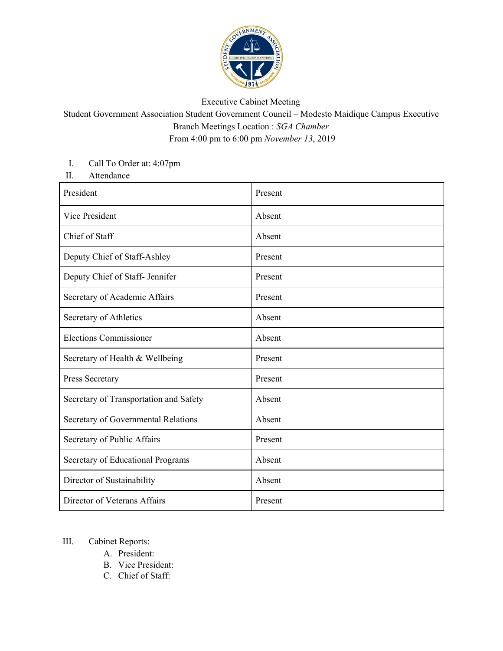

## Executive Cabinet Meeting

Student Government Association Student Government Council – Modesto Maidique Campus Executive Branch Meetings Location : *SGA Chamber* From 4:00 pm to 6:00 pm *November 13*, 2019

## I. Call To Order at: 4:07pm

II. Attendance

| President                              | Present |
|----------------------------------------|---------|
| Vice President                         | Absent  |
| Chief of Staff                         | Absent  |
| Deputy Chief of Staff-Ashley           | Present |
| Deputy Chief of Staff- Jennifer        | Present |
| Secretary of Academic Affairs          | Present |
| Secretary of Athletics                 | Absent  |
| <b>Elections Commissioner</b>          | Absent  |
| Secretary of Health & Wellbeing        | Present |
| Press Secretary                        | Present |
| Secretary of Transportation and Safety | Absent  |
| Secretary of Governmental Relations    | Absent  |
| Secretary of Public Affairs            | Present |
| Secretary of Educational Programs      | Absent  |
| Director of Sustainability             | Absent  |
| Director of Veterans Affairs           | Present |

## III. Cabinet Reports:

- A. President:
- B. Vice President:
- C. Chief of Staff: